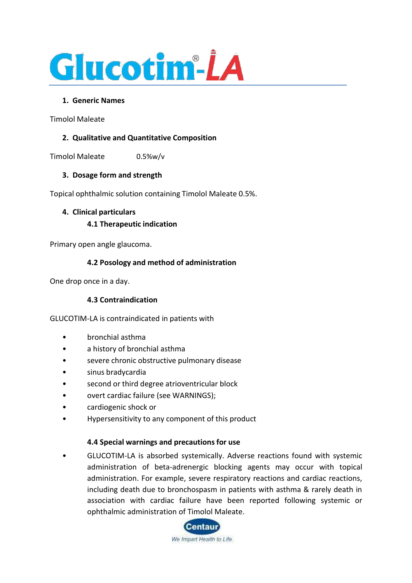

### **1. Generic Names**

Timolol Maleate

## **2. Qualitative and Quantitative Composition**

Timolol Maleate 0.5%w/v

### **3. Dosage form and strength**

Topical ophthalmic solution containing Timolol Maleate 0.5%.

# **4. Clinical particulars 4.1 Therapeutic indication**

Primary open angle glaucoma.

### **4.2 Posology and method of administration**

One drop once in a day.

### **4.3 Contraindication**

GLUCOTIM-LA is contraindicated in patients with

- bronchial asthma
- a history of bronchial asthma
- severe chronic obstructive pulmonary disease
- sinus bradycardia
- second or third degree atrioventricular block
- overt cardiac failure (see WARNINGS);
- cardiogenic shock or
- Hypersensitivity to any component of this product

#### **4.4 Special warnings and precautions for use**

• GLUCOTIM-LA is absorbed systemically. Adverse reactions found with systemic administration of beta-adrenergic blocking agents may occur with topical administration. For example, severe respiratory reactions and cardiac reactions, including death due to bronchospasm in patients with asthma & rarely death in association with cardiac failure have been reported following systemic or ophthalmic administration of Timolol Maleate.

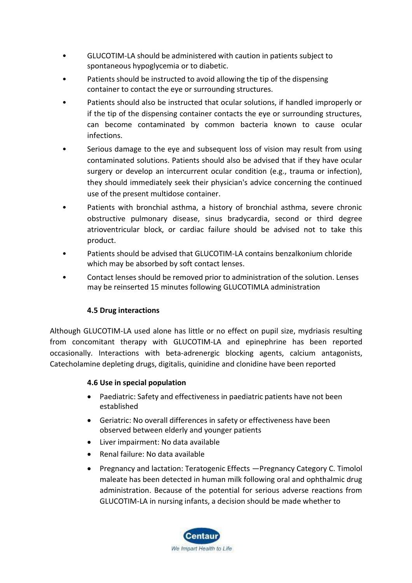- GLUCOTIM-LA should be administered with caution in patients subject to spontaneous hypoglycemia or to diabetic.
- Patients should be instructed to avoid allowing the tip of the dispensing container to contact the eye or surrounding structures.
- Patients should also be instructed that ocular solutions, if handled improperly or if the tip of the dispensing container contacts the eye or surrounding structures, can become contaminated by common bacteria known to cause ocular infections.
- Serious damage to the eye and subsequent loss of vision may result from using contaminated solutions. Patients should also be advised that if they have ocular surgery or develop an intercurrent ocular condition (e.g., trauma or infection), they should immediately seek their physician's advice concerning the continued use of the present multidose container.
- Patients with bronchial asthma, a history of bronchial asthma, severe chronic obstructive pulmonary disease, sinus bradycardia, second or third degree atrioventricular block, or cardiac failure should be advised not to take this product.
- Patients should be advised that GLUCOTIM-LA contains benzalkonium chloride which may be absorbed by soft contact lenses.
- Contact lenses should be removed prior to administration of the solution. Lenses may be reinserted 15 minutes following GLUCOTIMLA administration

### **4.5 Drug interactions**

Although GLUCOTIM-LA used alone has little or no effect on pupil size, mydriasis resulting from concomitant therapy with GLUCOTIM-LA and epinephrine has been reported occasionally. Interactions with beta-adrenergic blocking agents, calcium antagonists, Catecholamine depleting drugs, digitalis, quinidine and clonidine have been reported

### **4.6 Use in special population**

- Paediatric: Safety and effectiveness in paediatric patients have not been established
- Geriatric: No overall differences in safety or effectiveness have been observed between elderly and younger patients
- Liver impairment: No data available
- Renal failure: No data available
- Pregnancy and lactation: Teratogenic Effects —Pregnancy Category C. Timolol maleate has been detected in human milk following oral and ophthalmic drug administration. Because of the potential for serious adverse reactions from GLUCOTIM-LA in nursing infants, a decision should be made whether to

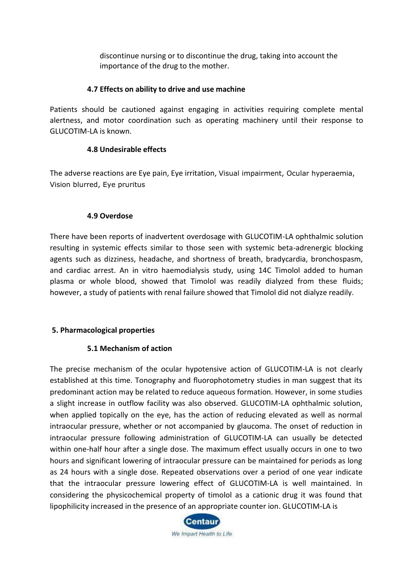discontinue nursing or to discontinue the drug, taking into account the importance of the drug to the mother.

#### **4.7 Effects on ability to drive and use machine**

Patients should be cautioned against engaging in activities requiring complete mental alertness, and motor coordination such as operating machinery until their response to GLUCOTIM-LA is known.

#### **4.8 Undesirable effects**

The adverse reactions are Eye pain, Eye irritation, Visual impairment, Ocular hyperaemia, Vision blurred, Eye pruritus

#### **4.9 Overdose**

There have been reports of inadvertent overdosage with GLUCOTIM-LA ophthalmic solution resulting in systemic effects similar to those seen with systemic beta-adrenergic blocking agents such as dizziness, headache, and shortness of breath, bradycardia, bronchospasm, and cardiac arrest. An in vitro haemodialysis study, using 14C Timolol added to human plasma or whole blood, showed that Timolol was readily dialyzed from these fluids; however, a study of patients with renal failure showed that Timolol did not dialyze readily.

### **5. Pharmacological properties**

### **5.1 Mechanism of action**

The precise mechanism of the ocular hypotensive action of GLUCOTIM-LA is not clearly established at this time. Tonography and fluorophotometry studies in man suggest that its predominant action may be related to reduce aqueous formation. However, in some studies a slight increase in outflow facility was also observed. GLUCOTIM-LA ophthalmic solution, when applied topically on the eye, has the action of reducing elevated as well as normal intraocular pressure, whether or not accompanied by glaucoma. The onset of reduction in intraocular pressure following administration of GLUCOTIM-LA can usually be detected within one-half hour after a single dose. The maximum effect usually occurs in one to two hours and significant lowering of intraocular pressure can be maintained for periods as long as 24 hours with a single dose. Repeated observations over a period of one year indicate that the intraocular pressure lowering effect of GLUCOTIM-LA is well maintained. In considering the physicochemical property of timolol as a cationic drug it was found that lipophilicity increased in the presence of an appropriate counter ion. GLUCOTIM-LA is

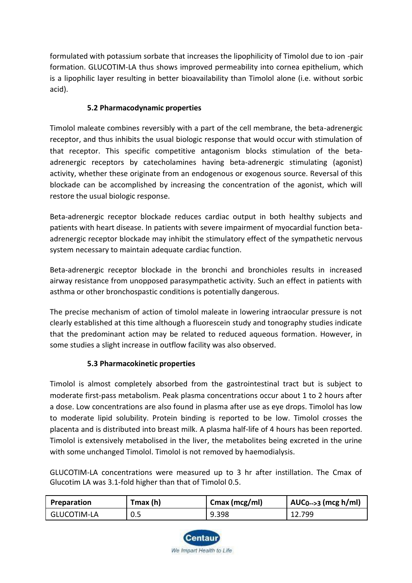formulated with potassium sorbate that increases the lipophilicity of Timolol due to ion -pair formation. GLUCOTIM-LA thus shows improved permeability into cornea epithelium, which is a lipophilic layer resulting in better bioavailability than Timolol alone (i.e. without sorbic acid).

# **5.2 Pharmacodynamic properties**

Timolol maleate combines reversibly with a part of the cell membrane, the beta-adrenergic receptor, and thus inhibits the usual biologic response that would occur with stimulation of that receptor. This specific competitive antagonism blocks stimulation of the betaadrenergic receptors by catecholamines having beta-adrenergic stimulating (agonist) activity, whether these originate from an endogenous or exogenous source. Reversal of this blockade can be accomplished by increasing the concentration of the agonist, which will restore the usual biologic response.

Beta-adrenergic receptor blockade reduces cardiac output in both healthy subjects and patients with heart disease. In patients with severe impairment of myocardial function betaadrenergic receptor blockade may inhibit the stimulatory effect of the sympathetic nervous system necessary to maintain adequate cardiac function.

Beta-adrenergic receptor blockade in the bronchi and bronchioles results in increased airway resistance from unopposed parasympathetic activity. Such an effect in patients with asthma or other bronchospastic conditions is potentially dangerous.

The precise mechanism of action of timolol maleate in lowering intraocular pressure is not clearly established at this time although a fluorescein study and tonography studies indicate that the predominant action may be related to reduced aqueous formation. However, in some studies a slight increase in outflow facility was also observed.

# **5.3 Pharmacokinetic properties**

Timolol is almost completely absorbed from the gastrointestinal tract but is subject to moderate first-pass metabolism. Peak plasma concentrations occur about 1 to 2 hours after a dose. Low concentrations are also found in plasma after use as eye drops. Timolol has low to moderate lipid solubility. Protein binding is reported to be low. Timolol crosses the placenta and is distributed into breast milk. A plasma half-life of 4 hours has been reported. Timolol is extensively metabolised in the liver, the metabolites being excreted in the urine with some unchanged Timolol. Timolol is not removed by haemodialysis.

GLUCOTIM-LA concentrations were measured up to 3 hr after instillation. The Cmax of Glucotim LA was 3.1-fold higher than that of Timolol 0.5.

| Preparation | Tmax (h) | Cmax (mcg/ml) | $AUC_{0\rightarrow 3}$ (mcg h/ml) |
|-------------|----------|---------------|-----------------------------------|
| GLUCOTIM-LA | 0.5      | 9.398         | 12.799                            |

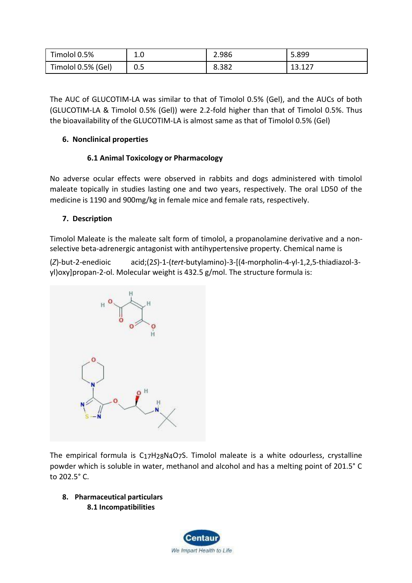| Timolol 0.5%       | 1.0 | 2.986 | 5.899              |
|--------------------|-----|-------|--------------------|
| Timolol 0.5% (Gel) | 0.5 | 8.382 | 12 1 2 7<br>13.IZ. |

The AUC of GLUCOTIM-LA was similar to that of Timolol 0.5% (Gel), and the AUCs of both (GLUCOTIM-LA & Timolol 0.5% (Gel)) were 2.2-fold higher than that of Timolol 0.5%. Thus the bioavailability of the GLUCOTIM-LA is almost same as that of Timolol 0.5% (Gel)

# **6. Nonclinical properties**

# **6.1 Animal Toxicology or Pharmacology**

No adverse ocular effects were observed in rabbits and dogs administered with timolol maleate topically in studies lasting one and two years, respectively. The oral LD50 of the medicine is 1190 and 900mg/kg in female mice and female rats, respectively.

## **7. Description**

Timolol Maleate is the maleate salt form of [timolol, a](https://pubchem.ncbi.nlm.nih.gov/compound/timolol) [propanolamine d](https://pubchem.ncbi.nlm.nih.gov/compound/propanolamine)erivative and a nonselective beta-adrenergic antagonist with antihypertensive property. Chemical name is

(*Z*)-but-2-enedioic acid;(2*S*)-1-(*tert*-butylamino)-3-[(4-morpholin-4-yl-1,2,5-thiadiazol-3 yl)oxy]propan-2-ol. Molecular weight is 432.5 g/mol. The structure formula is:



The empirical formula is C17H[28](https://pubchem.ncbi.nlm.nih.gov/#query%3DC17H28N4O7S)N4O7S. Timolol maleate is a white odourless, crystalline powder which is soluble in water, methanol and alcohol and has a melting point of 201.5° C to 202.5° C.

**8. Pharmaceutical particulars 8.1 Incompatibilities**

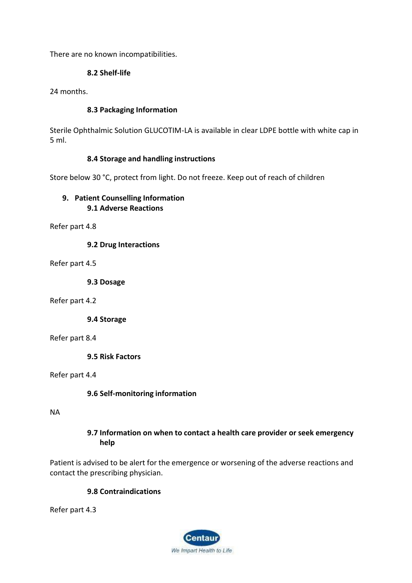There are no known incompatibilities.

## **8.2 Shelf-life**

24 months.

### **8.3 Packaging Information**

Sterile Ophthalmic Solution GLUCOTIM-LA is available in clear LDPE bottle with white cap in 5 ml.

### **8.4 Storage and handling instructions**

Store below 30 °C, protect from light. Do not freeze. Keep out of reach of children

# **9. Patient Counselling Information 9.1 Adverse Reactions**

Refer part 4.8

**9.2 Drug Interactions**

Refer part 4.5

**9.3 Dosage**

Refer part 4.2

**9.4 Storage**

Refer part 8.4

**9.5 Risk Factors**

Refer part 4.4

### **9.6 Self-monitoring information**

NA

### **9.7 Information on when to contact a health care provider or seek emergency help**

Patient is advised to be alert for the emergence or worsening of the adverse reactions and contact the prescribing physician.

### **9.8 Contraindications**

Refer part 4.3